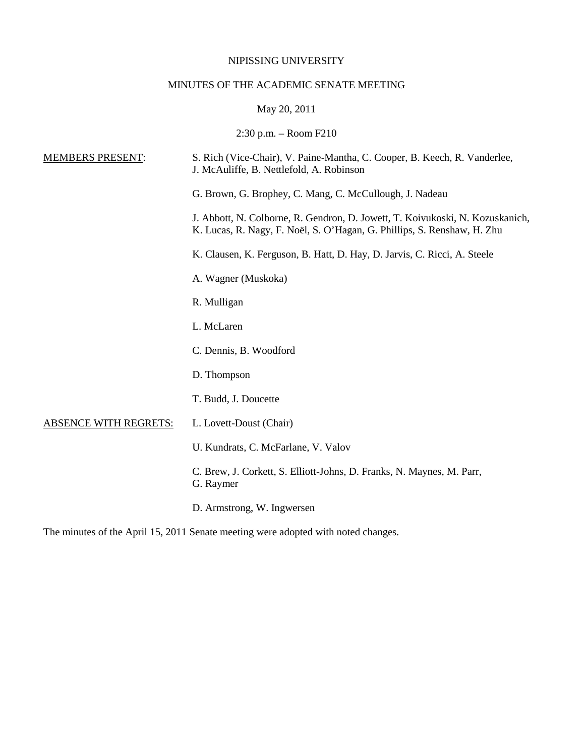# NIPISSING UNIVERSITY

# MINUTES OF THE ACADEMIC SENATE MEETING

# May 20, 2011

# 2:30 p.m. – Room F210

| <b>MEMBERS PRESENT:</b>      | S. Rich (Vice-Chair), V. Paine-Mantha, C. Cooper, B. Keech, R. Vanderlee,<br>J. McAuliffe, B. Nettlefold, A. Robinson                                    |
|------------------------------|----------------------------------------------------------------------------------------------------------------------------------------------------------|
|                              | G. Brown, G. Brophey, C. Mang, C. McCullough, J. Nadeau                                                                                                  |
|                              | J. Abbott, N. Colborne, R. Gendron, D. Jowett, T. Koivukoski, N. Kozuskanich,<br>K. Lucas, R. Nagy, F. Noël, S. O'Hagan, G. Phillips, S. Renshaw, H. Zhu |
|                              | K. Clausen, K. Ferguson, B. Hatt, D. Hay, D. Jarvis, C. Ricci, A. Steele                                                                                 |
|                              | A. Wagner (Muskoka)                                                                                                                                      |
|                              | R. Mulligan                                                                                                                                              |
|                              | L. McLaren                                                                                                                                               |
|                              | C. Dennis, B. Woodford                                                                                                                                   |
|                              | D. Thompson                                                                                                                                              |
|                              | T. Budd, J. Doucette                                                                                                                                     |
| <b>ABSENCE WITH REGRETS:</b> | L. Lovett-Doust (Chair)                                                                                                                                  |
|                              | U. Kundrats, C. McFarlane, V. Valov                                                                                                                      |
|                              | C. Brew, J. Corkett, S. Elliott-Johns, D. Franks, N. Maynes, M. Parr,<br>G. Raymer                                                                       |
|                              | D. Armstrong, W. Ingwersen                                                                                                                               |

The minutes of the April 15, 2011 Senate meeting were adopted with noted changes.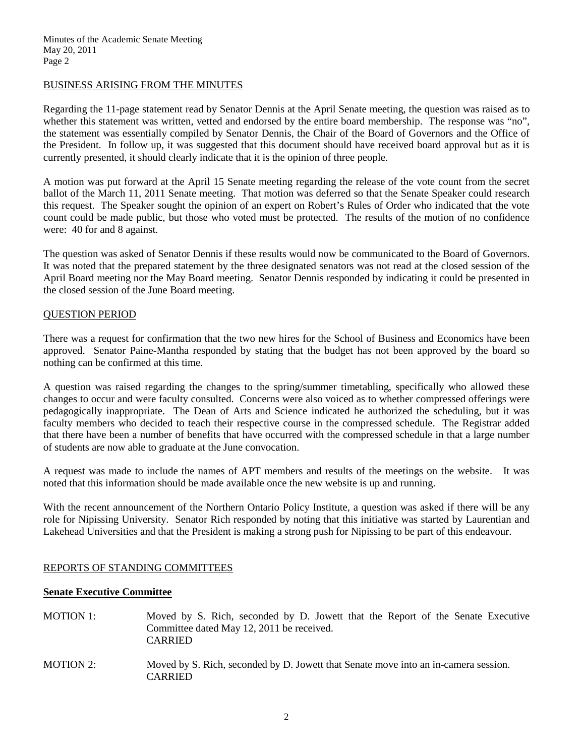## BUSINESS ARISING FROM THE MINUTES

Regarding the 11-page statement read by Senator Dennis at the April Senate meeting, the question was raised as to whether this statement was written, vetted and endorsed by the entire board membership. The response was "no", the statement was essentially compiled by Senator Dennis, the Chair of the Board of Governors and the Office of the President. In follow up, it was suggested that this document should have received board approval but as it is currently presented, it should clearly indicate that it is the opinion of three people.

A motion was put forward at the April 15 Senate meeting regarding the release of the vote count from the secret ballot of the March 11, 2011 Senate meeting. That motion was deferred so that the Senate Speaker could research this request. The Speaker sought the opinion of an expert on Robert's Rules of Order who indicated that the vote count could be made public, but those who voted must be protected. The results of the motion of no confidence were: 40 for and 8 against.

The question was asked of Senator Dennis if these results would now be communicated to the Board of Governors. It was noted that the prepared statement by the three designated senators was not read at the closed session of the April Board meeting nor the May Board meeting. Senator Dennis responded by indicating it could be presented in the closed session of the June Board meeting.

## QUESTION PERIOD

There was a request for confirmation that the two new hires for the School of Business and Economics have been approved. Senator Paine-Mantha responded by stating that the budget has not been approved by the board so nothing can be confirmed at this time.

A question was raised regarding the changes to the spring/summer timetabling, specifically who allowed these changes to occur and were faculty consulted. Concerns were also voiced as to whether compressed offerings were pedagogically inappropriate. The Dean of Arts and Science indicated he authorized the scheduling, but it was faculty members who decided to teach their respective course in the compressed schedule. The Registrar added that there have been a number of benefits that have occurred with the compressed schedule in that a large number of students are now able to graduate at the June convocation.

A request was made to include the names of APT members and results of the meetings on the website. It was noted that this information should be made available once the new website is up and running.

With the recent announcement of the Northern Ontario Policy Institute, a question was asked if there will be any role for Nipissing University. Senator Rich responded by noting that this initiative was started by Laurentian and Lakehead Universities and that the President is making a strong push for Nipissing to be part of this endeavour.

## REPORTS OF STANDING COMMITTEES

### **Senate Executive Committee**

MOTION 1: Moved by S. Rich, seconded by D. Jowett that the Report of the Senate Executive Committee dated May 12, 2011 be received. CARRIED MOTION 2: Moved by S. Rich, seconded by D. Jowett that Senate move into an in-camera session. CARRIED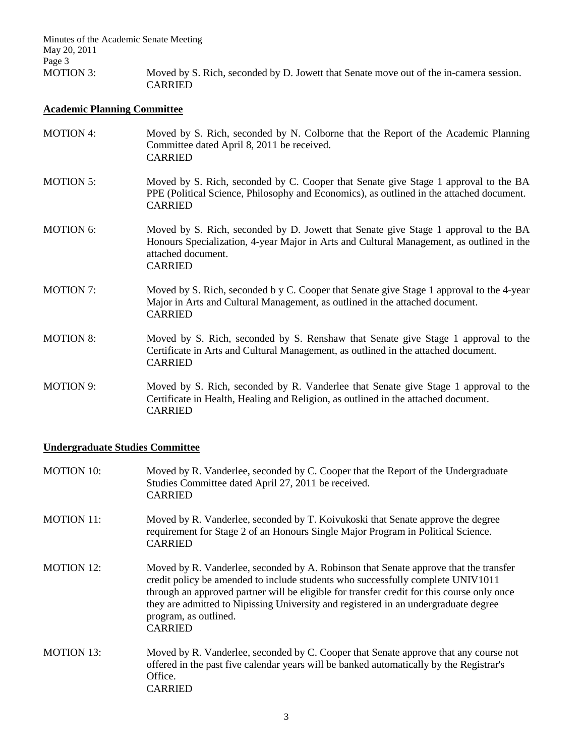Minutes of the Academic Senate Meeting May 20, 2011 Page 3<br>MOTION 3: Moved by S. Rich, seconded by D. Jowett that Senate move out of the in-camera session. CARRIED

# **Academic Planning Committee**

| <b>MOTION 4:</b> | Moved by S. Rich, seconded by N. Colborne that the Report of the Academic Planning<br>Committee dated April 8, 2011 be received.<br><b>CARRIED</b>                                                                      |
|------------------|-------------------------------------------------------------------------------------------------------------------------------------------------------------------------------------------------------------------------|
| <b>MOTION 5:</b> | Moved by S. Rich, seconded by C. Cooper that Senate give Stage 1 approval to the BA<br>PPE (Political Science, Philosophy and Economics), as outlined in the attached document.<br><b>CARRIED</b>                       |
| <b>MOTION 6:</b> | Moved by S. Rich, seconded by D. Jowett that Senate give Stage 1 approval to the BA<br>Honours Specialization, 4-year Major in Arts and Cultural Management, as outlined in the<br>attached document.<br><b>CARRIED</b> |
| <b>MOTION 7:</b> | Moved by S. Rich, seconded b y C. Cooper that Senate give Stage 1 approval to the 4-year<br>Major in Arts and Cultural Management, as outlined in the attached document.<br><b>CARRIED</b>                              |
| <b>MOTION 8:</b> | Moved by S. Rich, seconded by S. Renshaw that Senate give Stage 1 approval to the<br>Certificate in Arts and Cultural Management, as outlined in the attached document.<br><b>CARRIED</b>                               |
| <b>MOTION 9:</b> | Moved by S. Rich, seconded by R. Vanderlee that Senate give Stage 1 approval to the<br>Certificate in Health, Healing and Religion, as outlined in the attached document.<br><b>CARRIED</b>                             |

# **Undergraduate Studies Committee**

| <b>MOTION 10:</b> | Moved by R. Vanderlee, seconded by C. Cooper that the Report of the Undergraduate<br>Studies Committee dated April 27, 2011 be received.<br><b>CARRIED</b>                                                                                                                                                                                                                                              |
|-------------------|---------------------------------------------------------------------------------------------------------------------------------------------------------------------------------------------------------------------------------------------------------------------------------------------------------------------------------------------------------------------------------------------------------|
| <b>MOTION 11:</b> | Moved by R. Vanderlee, seconded by T. Koivukoski that Senate approve the degree<br>requirement for Stage 2 of an Honours Single Major Program in Political Science.<br><b>CARRIED</b>                                                                                                                                                                                                                   |
| MOTION 12:        | Moved by R. Vanderlee, seconded by A. Robinson that Senate approve that the transfer<br>credit policy be amended to include students who successfully complete UNIV1011<br>through an approved partner will be eligible for transfer credit for this course only once<br>they are admitted to Nipissing University and registered in an undergraduate degree<br>program, as outlined.<br><b>CARRIED</b> |
| <b>MOTION 13:</b> | Moved by R. Vanderlee, seconded by C. Cooper that Senate approve that any course not<br>offered in the past five calendar years will be banked automatically by the Registrar's<br>Office.<br><b>CARRIED</b>                                                                                                                                                                                            |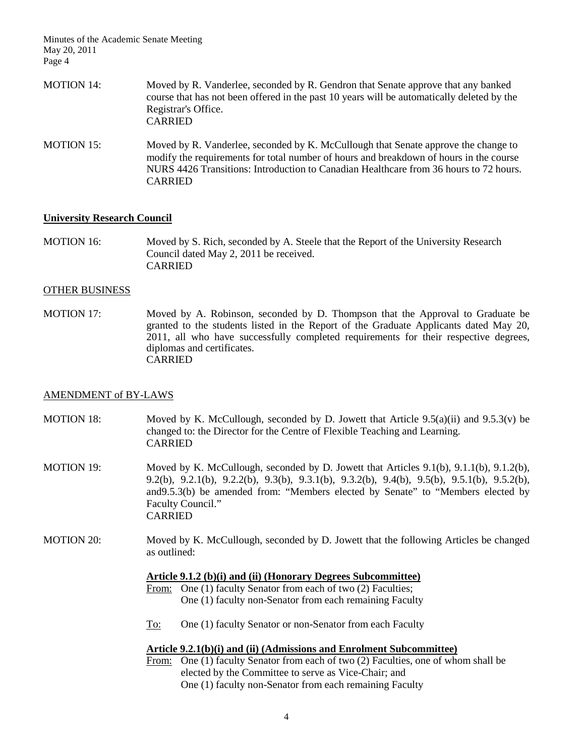Minutes of the Academic Senate Meeting May 20, 2011 Page 4

| MOTION 14: | Moved by R. Vanderlee, seconded by R. Gendron that Senate approve that any banked<br>course that has not been offered in the past 10 years will be automatically deleted by the<br>Registrar's Office.<br><b>CARRIED</b>                                              |
|------------|-----------------------------------------------------------------------------------------------------------------------------------------------------------------------------------------------------------------------------------------------------------------------|
| MOTION 15: | Moved by R. Vanderlee, seconded by K. McCullough that Senate approve the change to<br>modify the requirements for total number of hours and breakdown of hours in the course<br>NURS 4426 Transitions: Introduction to Canadian Healthcare from 36 hours to 72 hours. |

## **University Research Council**

CARRIED

MOTION 16: Moved by S. Rich, seconded by A. Steele that the Report of the University Research Council dated May 2, 2011 be received. **CARRIED** 

### OTHER BUSINESS

MOTION 17: Moved by A. Robinson, seconded by D. Thompson that the Approval to Graduate be granted to the students listed in the Report of the Graduate Applicants dated May 20, 2011, all who have successfully completed requirements for their respective degrees, diplomas and certificates. CARRIED

### AMENDMENT of BY-LAWS

- MOTION 18: Moved by K. McCullough, seconded by D. Jowett that Article 9.5(a)(ii) and 9.5.3(v) be changed to: the Director for the Centre of Flexible Teaching and Learning. CARRIED
- MOTION 19: Moved by K. McCullough, seconded by D. Jowett that Articles 9.1(b), 9.1.1(b), 9.1.2(b), 9.2(b), 9.2.1(b), 9.2.2(b), 9.3(b), 9.3.1(b), 9.3.2(b), 9.4(b), 9.5(b), 9.5.1(b), 9.5.2(b), and9.5.3(b) be amended from: "Members elected by Senate" to "Members elected by Faculty Council." CARRIED
- MOTION 20: Moved by K. McCullough, seconded by D. Jowett that the following Articles be changed as outlined:

#### **Article 9.1.2 (b)(i) and (ii) (Honorary Degrees Subcommittee)**

- From: One (1) faculty Senator from each of two (2) Faculties; One (1) faculty non-Senator from each remaining Faculty
- To: One (1) faculty Senator or non-Senator from each Faculty

### **Article 9.2.1(b)(i) and (ii) (Admissions and Enrolment Subcommittee)**

From: One (1) faculty Senator from each of two (2) Faculties, one of whom shall be elected by the Committee to serve as Vice-Chair; and One (1) faculty non-Senator from each remaining Faculty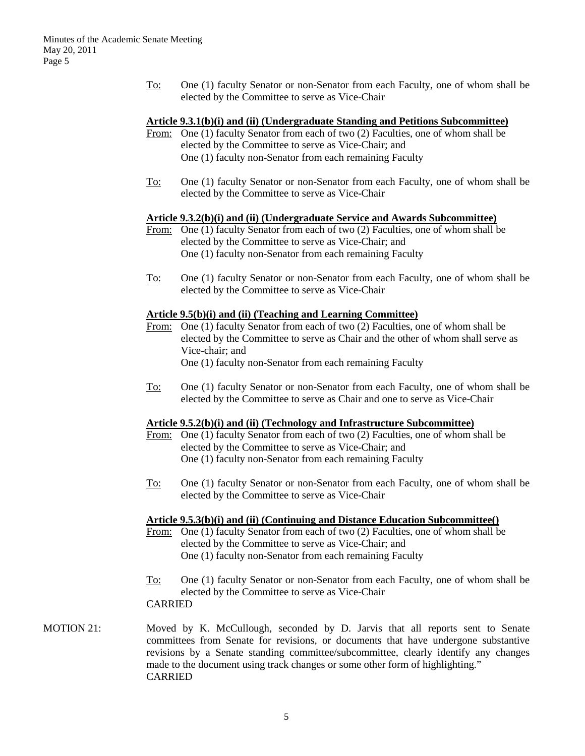To: One (1) faculty Senator or non-Senator from each Faculty, one of whom shall be elected by the Committee to serve as Vice-Chair

## **Article 9.3.1(b)(i) and (ii) (Undergraduate Standing and Petitions Subcommittee)**

- From: One (1) faculty Senator from each of two (2) Faculties, one of whom shall be elected by the Committee to serve as Vice-Chair; and One (1) faculty non-Senator from each remaining Faculty
- To: One (1) faculty Senator or non-Senator from each Faculty, one of whom shall be elected by the Committee to serve as Vice-Chair

## **Article 9.3.2(b)(i) and (ii) (Undergraduate Service and Awards Subcommittee)**

- From: One (1) faculty Senator from each of two (2) Faculties, one of whom shall be elected by the Committee to serve as Vice-Chair; and One (1) faculty non-Senator from each remaining Faculty
- To: One (1) faculty Senator or non-Senator from each Faculty, one of whom shall be elected by the Committee to serve as Vice-Chair

## **Article 9.5(b)(i) and (ii) (Teaching and Learning Committee)**

- From: One (1) faculty Senator from each of two (2) Faculties, one of whom shall be elected by the Committee to serve as Chair and the other of whom shall serve as Vice-chair; and One (1) faculty non-Senator from each remaining Faculty
- To: One (1) faculty Senator or non-Senator from each Faculty, one of whom shall be elected by the Committee to serve as Chair and one to serve as Vice-Chair

# **Article 9.5.2(b)(i) and (ii) (Technology and Infrastructure Subcommittee)**

- From: One (1) faculty Senator from each of two (2) Faculties, one of whom shall be elected by the Committee to serve as Vice-Chair; and One (1) faculty non-Senator from each remaining Faculty
- To: One (1) faculty Senator or non-Senator from each Faculty, one of whom shall be elected by the Committee to serve as Vice-Chair

### **Article 9.5.3(b)(i) and (ii) (Continuing and Distance Education Subcommittee()**

- From: One (1) faculty Senator from each of two (2) Faculties, one of whom shall be elected by the Committee to serve as Vice-Chair; and One (1) faculty non-Senator from each remaining Faculty
- To: One (1) faculty Senator or non-Senator from each Faculty, one of whom shall be elected by the Committee to serve as Vice-Chair CARRIED
- MOTION 21: Moved by K. McCullough, seconded by D. Jarvis that all reports sent to Senate committees from Senate for revisions, or documents that have undergone substantive revisions by a Senate standing committee/subcommittee, clearly identify any changes made to the document using track changes or some other form of highlighting." CARRIED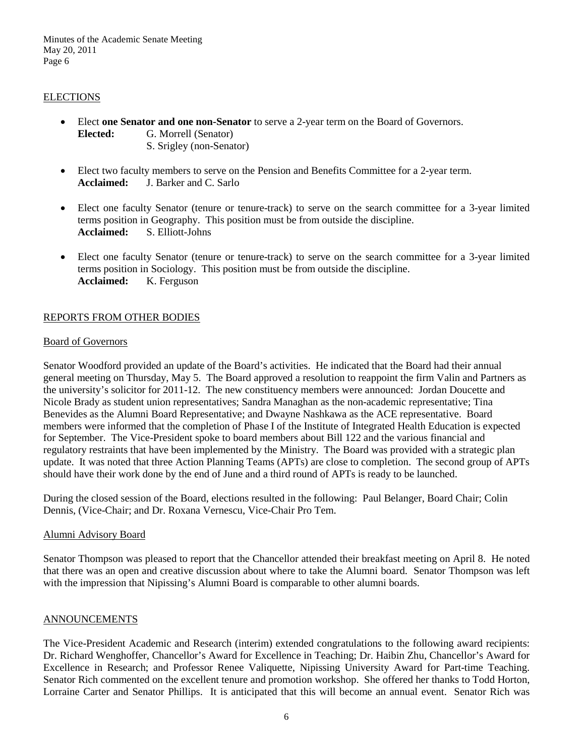Minutes of the Academic Senate Meeting May 20, 2011 Page 6

## **ELECTIONS**

- Elect **one Senator and one non-Senator** to serve a 2-year term on the Board of Governors. **Elected:** G. Morrell (Senator) S. Srigley (non-Senator)
- Elect two faculty members to serve on the Pension and Benefits Committee for a 2-year term. **Acclaimed:** J. Barker and C. Sarlo
- Elect one faculty Senator (tenure or tenure-track) to serve on the search committee for a 3-year limited terms position in Geography. This position must be from outside the discipline. **Acclaimed:** S. Elliott-Johns
- Elect one faculty Senator (tenure or tenure-track) to serve on the search committee for a 3-year limited terms position in Sociology. This position must be from outside the discipline. Acclaimed: K. Ferguson

# REPORTS FROM OTHER BODIES

## Board of Governors

Senator Woodford provided an update of the Board's activities. He indicated that the Board had their annual general meeting on Thursday, May 5. The Board approved a resolution to reappoint the firm Valin and Partners as the university's solicitor for 2011-12. The new constituency members were announced: Jordan Doucette and Nicole Brady as student union representatives; Sandra Managhan as the non-academic representative; Tina Benevides as the Alumni Board Representative; and Dwayne Nashkawa as the ACE representative. Board members were informed that the completion of Phase I of the Institute of Integrated Health Education is expected for September. The Vice-President spoke to board members about Bill 122 and the various financial and regulatory restraints that have been implemented by the Ministry. The Board was provided with a strategic plan update. It was noted that three Action Planning Teams (APTs) are close to completion. The second group of APTs should have their work done by the end of June and a third round of APTs is ready to be launched.

During the closed session of the Board, elections resulted in the following: Paul Belanger, Board Chair; Colin Dennis, (Vice-Chair; and Dr. Roxana Vernescu, Vice-Chair Pro Tem.

## Alumni Advisory Board

Senator Thompson was pleased to report that the Chancellor attended their breakfast meeting on April 8. He noted that there was an open and creative discussion about where to take the Alumni board. Senator Thompson was left with the impression that Nipissing's Alumni Board is comparable to other alumni boards.

# ANNOUNCEMENTS

The Vice-President Academic and Research (interim) extended congratulations to the following award recipients: Dr. Richard Wenghoffer, Chancellor's Award for Excellence in Teaching; Dr. Haibin Zhu, Chancellor's Award for Excellence in Research; and Professor Renee Valiquette, Nipissing University Award for Part-time Teaching. Senator Rich commented on the excellent tenure and promotion workshop. She offered her thanks to Todd Horton, Lorraine Carter and Senator Phillips. It is anticipated that this will become an annual event. Senator Rich was